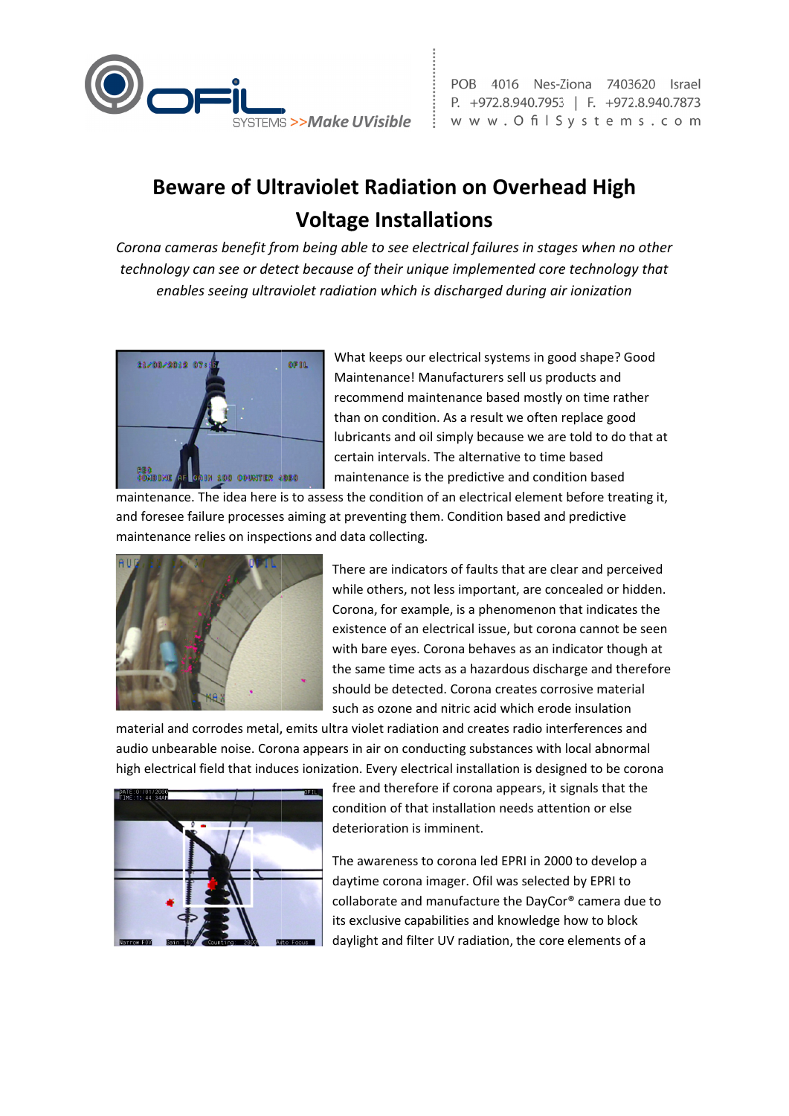

POB 4016 Nes-Ziona 7403620 Israel P. +972.8.940.7953 | F. +972.8.940.7873 www.OfilSystems.com

## **Beware of Ultraviolet Radiation on Overhead High Voltage Installations**

Corona cameras benefit from being able to see electrical failures in stages when no other technology can see or detect because of their unique implemented core technology that enables seeing ultraviolet radiation which is discharged during air ionization



What keeps our electrical systems in good shape? Good Maintenance! Manufacturers sell us products and recommend maintenance based mostly on time rather than on condition. As a result we often replace good lubricants and oil simply because we are told to do that at certain intervals. The alternative to time based maintenance is the predictive and condition based

maintenance. The idea here is to assess the condition of an electrical element before treating it, and foresee failure processes aiming at preventing them. Condition based and predictive maintenance relies on inspections and data collecting.



There are indicators of faults that are clear and perceived while others, not less important, are concealed or hidden. Corona, for example, is a phenomenon that indicates the existence of an electrical issue, but corona cannot be seen with bare eyes. Corona behaves as an indicator though at the same time acts as a hazardous discharge and therefore should be detected. Corona creates corrosive material such as ozone and nitric acid which erode insulation

material and corrodes metal, emits ultra violet radiation and creates radio interferences and audio unbearable noise. Corona appears in air on conducting substances with local abnormal high electrical field that induces ionization. Every electrical installation is designed to be corona



free and therefore if corona appears, it signals that the condition of that installation needs attention or else deterioration is imminent.

The awareness to corona led EPRI in 2000 to develop a daytime corona imager. Ofil was selected by EPRI to collaborate and manufacture the DayCor® camera due to its exclusive capabilities and knowledge how to block daylight and filter UV radiation, the core elements of a